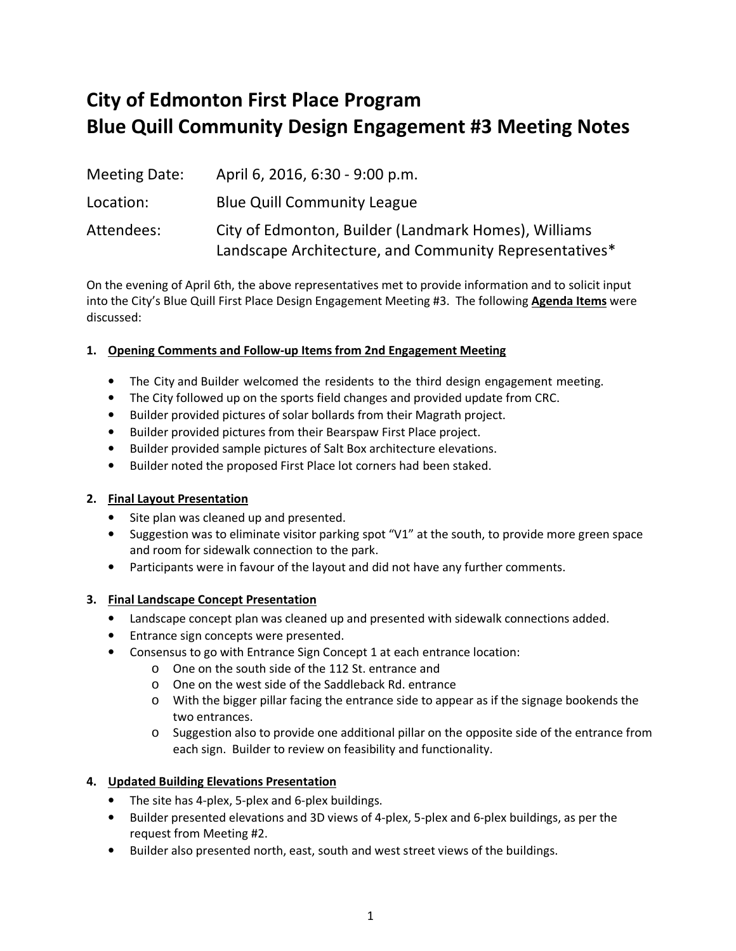# **City of Edmonton First Place Program Blue Quill Community Design Engagement #3 Meeting Notes**

| Meeting Date: | April 6, 2016, 6:30 - 9:00 p.m.                        |
|---------------|--------------------------------------------------------|
| Location:     | <b>Blue Quill Community League</b>                     |
| Attendees:    | City of Edmonton, Builder (Landmark Homes), Williams   |
|               | Landscape Architecture, and Community Representatives* |

On the evening of April 6th, the above representatives met to provide information and to solicit input into the City's Blue Quill First Place Design Engagement Meeting #3. The following **Agenda Items** were discussed:

## **1. Opening Comments and Follow-up Items from 2nd Engagement Meeting**

- The City and Builder welcomed the residents to the third design engagement meeting.
- The City followed up on the sports field changes and provided update from CRC.
- Builder provided pictures of solar bollards from their Magrath project.
- Builder provided pictures from their Bearspaw First Place project.
- Builder provided sample pictures of Salt Box architecture elevations.
- Builder noted the proposed First Place lot corners had been staked.

## **2. Final Layout Presentation**

- Site plan was cleaned up and presented.
- Suggestion was to eliminate visitor parking spot "V1" at the south, to provide more green space and room for sidewalk connection to the park.
- Participants were in favour of the layout and did not have any further comments.

## **3. Final Landscape Concept Presentation**

- Landscape concept plan was cleaned up and presented with sidewalk connections added.
- Entrance sign concepts were presented.
- Consensus to go with Entrance Sign Concept 1 at each entrance location:
	- o One on the south side of the 112 St. entrance and
		- o One on the west side of the Saddleback Rd. entrance
		- o With the bigger pillar facing the entrance side to appear as if the signage bookends the two entrances.
		- o Suggestion also to provide one additional pillar on the opposite side of the entrance from each sign. Builder to review on feasibility and functionality.

## **4. Updated Building Elevations Presentation**

- The site has 4-plex, 5-plex and 6-plex buildings.
- Builder presented elevations and 3D views of 4-plex, 5-plex and 6-plex buildings, as per the request from Meeting #2.
- Builder also presented north, east, south and west street views of the buildings.